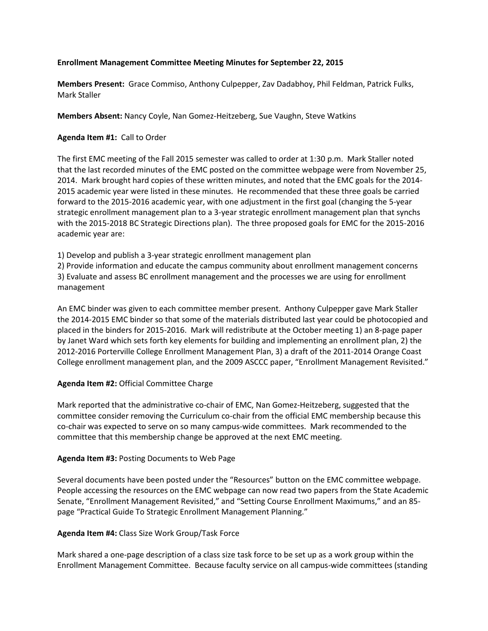### **Enrollment Management Committee Meeting Minutes for September 22, 2015**

**Members Present:** Grace Commiso, Anthony Culpepper, Zav Dadabhoy, Phil Feldman, Patrick Fulks, Mark Staller

**Members Absent:** Nancy Coyle, Nan Gomez-Heitzeberg, Sue Vaughn, Steve Watkins

### **Agenda Item #1:** Call to Order

The first EMC meeting of the Fall 2015 semester was called to order at 1:30 p.m. Mark Staller noted that the last recorded minutes of the EMC posted on the committee webpage were from November 25, 2014. Mark brought hard copies of these written minutes, and noted that the EMC goals for the 2014- 2015 academic year were listed in these minutes. He recommended that these three goals be carried forward to the 2015-2016 academic year, with one adjustment in the first goal (changing the 5-year strategic enrollment management plan to a 3-year strategic enrollment management plan that synchs with the 2015-2018 BC Strategic Directions plan). The three proposed goals for EMC for the 2015-2016 academic year are:

1) Develop and publish a 3-year strategic enrollment management plan

2) Provide information and educate the campus community about enrollment management concerns 3) Evaluate and assess BC enrollment management and the processes we are using for enrollment management

An EMC binder was given to each committee member present. Anthony Culpepper gave Mark Staller the 2014-2015 EMC binder so that some of the materials distributed last year could be photocopied and placed in the binders for 2015-2016. Mark will redistribute at the October meeting 1) an 8-page paper by Janet Ward which sets forth key elements for building and implementing an enrollment plan, 2) the 2012-2016 Porterville College Enrollment Management Plan, 3) a draft of the 2011-2014 Orange Coast College enrollment management plan, and the 2009 ASCCC paper, "Enrollment Management Revisited."

# **Agenda Item #2:** Official Committee Charge

Mark reported that the administrative co-chair of EMC, Nan Gomez-Heitzeberg, suggested that the committee consider removing the Curriculum co-chair from the official EMC membership because this co-chair was expected to serve on so many campus-wide committees. Mark recommended to the committee that this membership change be approved at the next EMC meeting.

# **Agenda Item #3:** Posting Documents to Web Page

Several documents have been posted under the "Resources" button on the EMC committee webpage. People accessing the resources on the EMC webpage can now read two papers from the State Academic Senate, "Enrollment Management Revisited," and "Setting Course Enrollment Maximums," and an 85 page "Practical Guide To Strategic Enrollment Management Planning."

# **Agenda Item #4:** Class Size Work Group/Task Force

Mark shared a one-page description of a class size task force to be set up as a work group within the Enrollment Management Committee. Because faculty service on all campus-wide committees (standing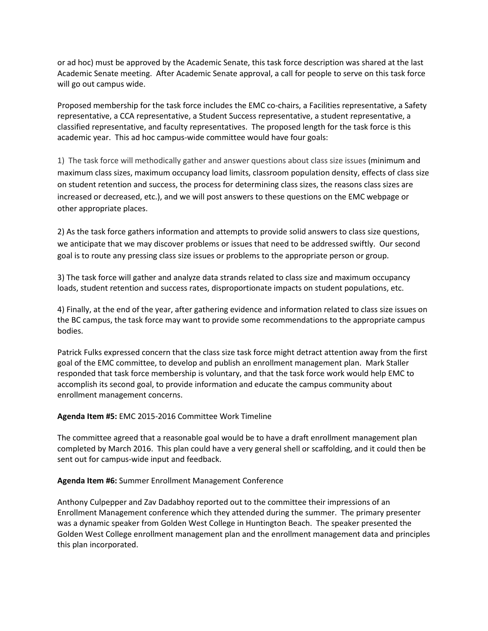or ad hoc) must be approved by the Academic Senate, this task force description was shared at the last Academic Senate meeting. After Academic Senate approval, a call for people to serve on this task force will go out campus wide.

Proposed membership for the task force includes the EMC co-chairs, a Facilities representative, a Safety representative, a CCA representative, a Student Success representative, a student representative, a classified representative, and faculty representatives. The proposed length for the task force is this academic year. This ad hoc campus-wide committee would have four goals:

1) The task force will methodically gather and answer questions about class size issues (minimum and maximum class sizes, maximum occupancy load limits, classroom population density, effects of class size on student retention and success, the process for determining class sizes, the reasons class sizes are increased or decreased, etc.), and we will post answers to these questions on the EMC webpage or other appropriate places.

2) As the task force gathers information and attempts to provide solid answers to class size questions, we anticipate that we may discover problems or issues that need to be addressed swiftly. Our second goal is to route any pressing class size issues or problems to the appropriate person or group.

3) The task force will gather and analyze data strands related to class size and maximum occupancy loads, student retention and success rates, disproportionate impacts on student populations, etc.

4) Finally, at the end of the year, after gathering evidence and information related to class size issues on the BC campus, the task force may want to provide some recommendations to the appropriate campus bodies.

Patrick Fulks expressed concern that the class size task force might detract attention away from the first goal of the EMC committee, to develop and publish an enrollment management plan. Mark Staller responded that task force membership is voluntary, and that the task force work would help EMC to accomplish its second goal, to provide information and educate the campus community about enrollment management concerns.

# **Agenda Item #5:** EMC 2015-2016 Committee Work Timeline

The committee agreed that a reasonable goal would be to have a draft enrollment management plan completed by March 2016. This plan could have a very general shell or scaffolding, and it could then be sent out for campus-wide input and feedback.

# **Agenda Item #6:** Summer Enrollment Management Conference

Anthony Culpepper and Zav Dadabhoy reported out to the committee their impressions of an Enrollment Management conference which they attended during the summer. The primary presenter was a dynamic speaker from Golden West College in Huntington Beach. The speaker presented the Golden West College enrollment management plan and the enrollment management data and principles this plan incorporated.